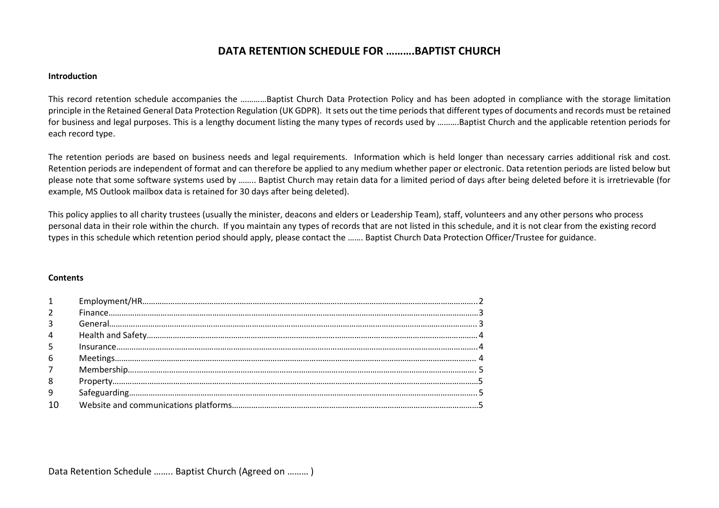## **DATA RETENTION SCHEDULE FOR ……….BAPTIST CHURCH**

## **Introduction**

This record retention schedule accompanies the …………Baptist Church Data Protection Policy and has been adopted in compliance with the storage limitation principle in the Retained General Data Protection Regulation (UK GDPR). It sets out the time periods that different types of documents and records must be retained for business and legal purposes. This is a lengthy document listing the many types of records used by ..........Baptist Church and the applicable retention periods for each record type.

The retention periods are based on business needs and legal requirements. Information which is held longer than necessary carries additional risk and cost. Retention periods are independent of format and can therefore be applied to any medium whether paper or electronic. Data retention periods are listed below but please note that some software systems used by …….. Baptist Church may retain data for a limited period of days after being deleted before it is irretrievable (for example, MS Outlook mailbox data is retained for 30 days after being deleted).

This policy applies to all charity trustees (usually the minister, deacons and elders or Leadership Team), staff, volunteers and any other persons who process personal data in their role within the church. If you maintain any types of records that are not listed in this schedule, and it is not clear from the existing record types in this schedule which retention period should apply, please contact the ……. Baptist Church Data Protection Officer/Trustee for guidance.

## **Contents**

| $\mathbf{1}$    |  |
|-----------------|--|
| $\overline{2}$  |  |
| $\overline{3}$  |  |
| $\overline{4}$  |  |
| -5              |  |
| $6\overline{6}$ |  |
| 7 <sup>7</sup>  |  |
| 8               |  |
| 9               |  |
|                 |  |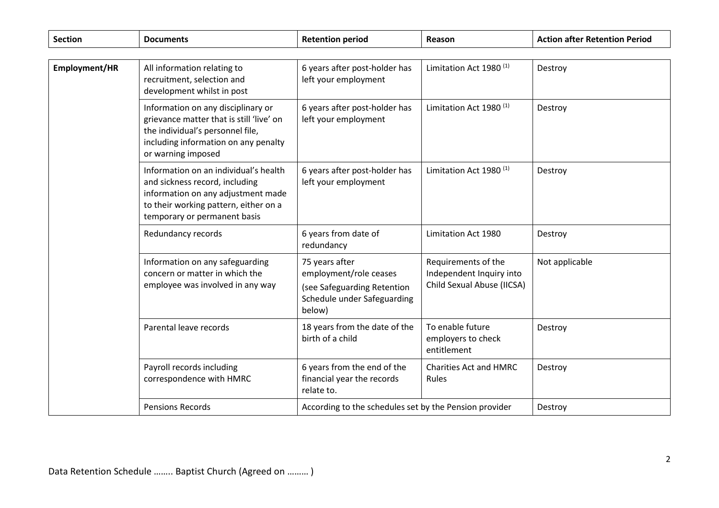| <b>Section</b> | <b>Documents</b>                                                                                                                                                                       | <b>Retention period</b>                                                                                          | Reason                                                                        | <b>Action after Retention Period</b> |
|----------------|----------------------------------------------------------------------------------------------------------------------------------------------------------------------------------------|------------------------------------------------------------------------------------------------------------------|-------------------------------------------------------------------------------|--------------------------------------|
|                |                                                                                                                                                                                        |                                                                                                                  |                                                                               |                                      |
| Employment/HR  | All information relating to<br>recruitment, selection and<br>development whilst in post                                                                                                | 6 years after post-holder has<br>left your employment                                                            | Limitation Act 1980 <sup>(1)</sup>                                            | Destroy                              |
|                | Information on any disciplinary or<br>grievance matter that is still 'live' on<br>the individual's personnel file,<br>including information on any penalty<br>or warning imposed       | 6 years after post-holder has<br>left your employment                                                            | Limitation Act 1980 <sup>(1)</sup>                                            | Destroy                              |
|                | Information on an individual's health<br>and sickness record, including<br>information on any adjustment made<br>to their working pattern, either on a<br>temporary or permanent basis | 6 years after post-holder has<br>left your employment                                                            | Limitation Act 1980 <sup>(1)</sup>                                            | Destroy                              |
|                | Redundancy records                                                                                                                                                                     | 6 years from date of<br>redundancy                                                                               | Limitation Act 1980                                                           | Destroy                              |
|                | Information on any safeguarding<br>concern or matter in which the<br>employee was involved in any way                                                                                  | 75 years after<br>employment/role ceases<br>(see Safeguarding Retention<br>Schedule under Safeguarding<br>below) | Requirements of the<br>Independent Inquiry into<br>Child Sexual Abuse (IICSA) | Not applicable                       |
|                | Parental leave records                                                                                                                                                                 | 18 years from the date of the<br>birth of a child                                                                | To enable future<br>employers to check<br>entitlement                         | Destroy                              |
|                | Payroll records including<br>correspondence with HMRC                                                                                                                                  | 6 years from the end of the<br>financial year the records<br>relate to.                                          | <b>Charities Act and HMRC</b><br>Rules                                        | Destroy                              |
|                | <b>Pensions Records</b>                                                                                                                                                                | According to the schedules set by the Pension provider                                                           |                                                                               | Destroy                              |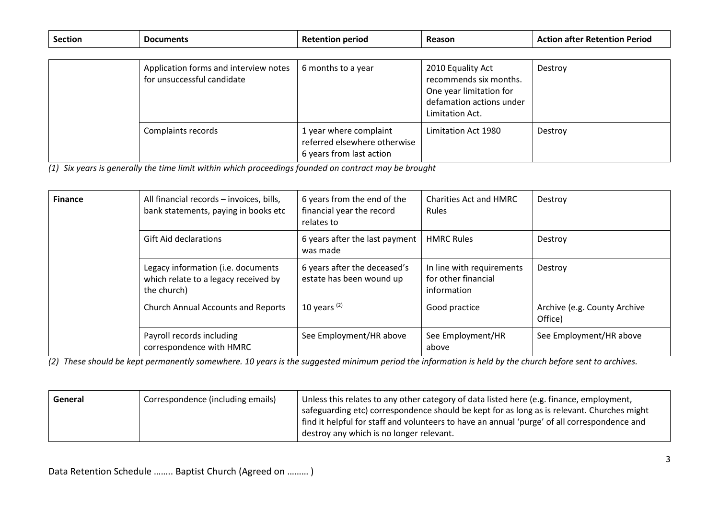| <b>Section</b> | <b>Documents</b>                                                    | <b>Retention period</b>                                                            | Reason                                                                                                                | <b>Action after Retention Period</b> |  |
|----------------|---------------------------------------------------------------------|------------------------------------------------------------------------------------|-----------------------------------------------------------------------------------------------------------------------|--------------------------------------|--|
|                |                                                                     |                                                                                    |                                                                                                                       |                                      |  |
|                | Application forms and interview notes<br>for unsuccessful candidate | 6 months to a year                                                                 | 2010 Equality Act<br>recommends six months.<br>One year limitation for<br>defamation actions under<br>Limitation Act. | Destroy                              |  |
|                | Complaints records                                                  | 1 year where complaint<br>referred elsewhere otherwise<br>6 years from last action | Limitation Act 1980                                                                                                   | Destroy                              |  |

*(1) Six years is generally the time limit within which proceedings founded on contract may be brought*

| <b>Finance</b> | All financial records - invoices, bills,<br>bank statements, paying in books etc          | 6 years from the end of the<br>financial year the record<br>relates to | <b>Charities Act and HMRC</b><br>Rules                          | Destroy                                 |
|----------------|-------------------------------------------------------------------------------------------|------------------------------------------------------------------------|-----------------------------------------------------------------|-----------------------------------------|
|                | <b>Gift Aid declarations</b>                                                              | 6 years after the last payment<br>was made                             | <b>HMRC Rules</b>                                               | Destroy                                 |
|                | Legacy information (i.e. documents<br>which relate to a legacy received by<br>the church) | 6 years after the deceased's<br>estate has been wound up               | In line with requirements<br>for other financial<br>information | Destroy                                 |
|                | <b>Church Annual Accounts and Reports</b>                                                 | 10 years $(2)$                                                         | Good practice                                                   | Archive (e.g. County Archive<br>Office) |
|                | Payroll records including<br>correspondence with HMRC                                     | See Employment/HR above                                                | See Employment/HR<br>above                                      | See Employment/HR above                 |

*(2) These should be kept permanently somewhere. 10 years is the suggested minimum period the information is held by the church before sent to archives.*

| General | Correspondence (including emails) | Unless this relates to any other category of data listed here (e.g. finance, employment,     |
|---------|-----------------------------------|----------------------------------------------------------------------------------------------|
|         |                                   | safeguarding etc) correspondence should be kept for as long as is relevant. Churches might   |
|         |                                   | find it helpful for staff and volunteers to have an annual 'purge' of all correspondence and |
|         |                                   | destroy any which is no longer relevant.                                                     |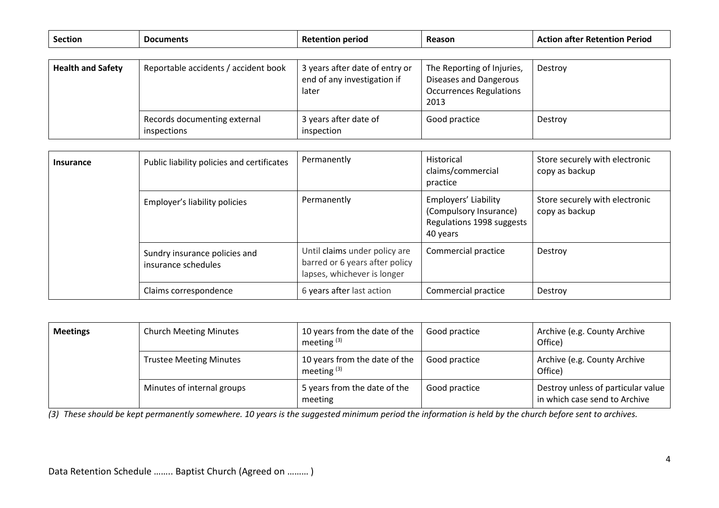| <b>Section</b>           | <b>Documents</b>                            | <b>Retention period</b>                                                | Reason                                                                                         | <b>Action after Retention Period</b> |
|--------------------------|---------------------------------------------|------------------------------------------------------------------------|------------------------------------------------------------------------------------------------|--------------------------------------|
|                          |                                             |                                                                        |                                                                                                |                                      |
| <b>Health and Safety</b> | Reportable accidents / accident book        | 3 years after date of entry or<br>end of any investigation if<br>later | The Reporting of Injuries,<br>Diseases and Dangerous<br><b>Occurrences Regulations</b><br>2013 | Destroy                              |
|                          | Records documenting external<br>inspections | 3 years after date of<br>inspection                                    | Good practice                                                                                  | Destroy                              |

| <b>Insurance</b> | Public liability policies and certificates           | Permanently                                                                                    | Historical<br>claims/commercial<br>practice                                             | Store securely with electronic<br>copy as backup |
|------------------|------------------------------------------------------|------------------------------------------------------------------------------------------------|-----------------------------------------------------------------------------------------|--------------------------------------------------|
|                  | Employer's liability policies                        | Permanently                                                                                    | Employers' Liability<br>(Compulsory Insurance)<br>Regulations 1998 suggests<br>40 years | Store securely with electronic<br>copy as backup |
|                  | Sundry insurance policies and<br>insurance schedules | Until claims under policy are<br>barred or 6 years after policy<br>lapses, whichever is longer | Commercial practice                                                                     | Destroy                                          |
|                  | Claims correspondence                                | 6 years after last action                                                                      | Commercial practice                                                                     | Destroy                                          |

| <b>Meetings</b> | <b>Church Meeting Minutes</b>  | 10 years from the date of the<br>meeting $(3)$ | Good practice | Archive (e.g. County Archive<br>Office)                             |
|-----------------|--------------------------------|------------------------------------------------|---------------|---------------------------------------------------------------------|
|                 | <b>Trustee Meeting Minutes</b> | 10 years from the date of the<br>meeting $(3)$ | Good practice | Archive (e.g. County Archive<br>Office)                             |
|                 | Minutes of internal groups     | 5 years from the date of the<br>meeting        | Good practice | Destroy unless of particular value<br>in which case send to Archive |

*(3) These should be kept permanently somewhere. 10 years is the suggested minimum period the information is held by the church before sent to archives.*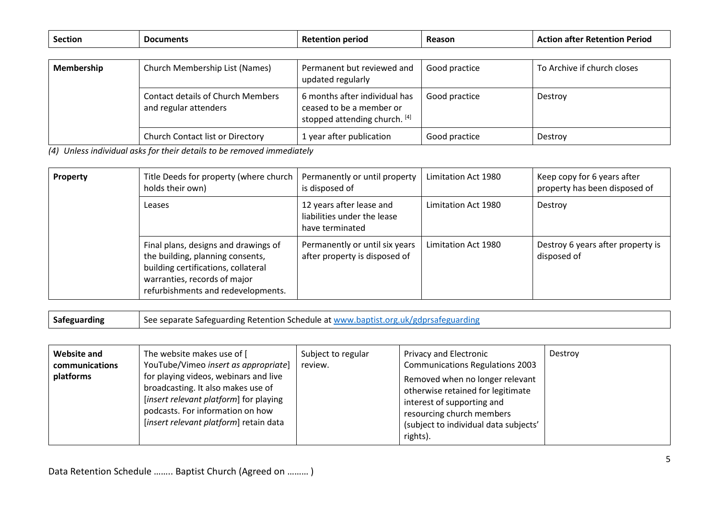| <b>Section</b>    | <b>Documents</b>                                                  | <b>Retention period</b>                                                                    | Reason        | <b>Action after Retention Period</b> |
|-------------------|-------------------------------------------------------------------|--------------------------------------------------------------------------------------------|---------------|--------------------------------------|
|                   |                                                                   |                                                                                            |               |                                      |
| <b>Membership</b> | Church Membership List (Names)                                    | Permanent but reviewed and<br>updated regularly                                            | Good practice | To Archive if church closes          |
|                   | <b>Contact details of Church Members</b><br>and regular attenders | 6 months after individual has<br>ceased to be a member or<br>stopped attending church. [4] | Good practice | Destroy                              |
|                   | <b>Church Contact list or Directory</b>                           | 1 year after publication                                                                   | Good practice | Destroy                              |

*(4) Unless individual asks for their details to be removed immediately*

| Property | Title Deeds for property (where church<br>holds their own)                                                                                                                            | Permanently or until property<br>is disposed of                            | Limitation Act 1980 | Keep copy for 6 years after<br>property has been disposed of |
|----------|---------------------------------------------------------------------------------------------------------------------------------------------------------------------------------------|----------------------------------------------------------------------------|---------------------|--------------------------------------------------------------|
|          | Leases                                                                                                                                                                                | 12 years after lease and<br>liabilities under the lease<br>have terminated | Limitation Act 1980 | Destroy                                                      |
|          | Final plans, designs and drawings of<br>the building, planning consents,<br>building certifications, collateral<br>warranties, records of major<br>refurbishments and redevelopments. | Permanently or until six years<br>after property is disposed of            | Limitation Act 1980 | Destroy 6 years after property is<br>disposed of             |

**Safeguarding** See separate Safeguarding Retention Schedule a[t www.baptist.org.uk/gdprsafeguarding](http://www.baptist.org.uk/gdprsafeguarding)

| <b>Website and</b><br>communications<br>platforms | The website makes use of [<br>YouTube/Vimeo insert as appropriate]<br>for playing videos, webinars and live<br>broadcasting. It also makes use of<br>[insert relevant platform] for playing<br>podcasts. For information on how<br>[insert relevant platform] retain data | Subject to regular<br>review. | <b>Privacy and Electronic</b><br><b>Communications Regulations 2003</b><br>Removed when no longer relevant<br>otherwise retained for legitimate<br>interest of supporting and<br>resourcing church members<br>(subject to individual data subjects'<br>rights). | Destroy |
|---------------------------------------------------|---------------------------------------------------------------------------------------------------------------------------------------------------------------------------------------------------------------------------------------------------------------------------|-------------------------------|-----------------------------------------------------------------------------------------------------------------------------------------------------------------------------------------------------------------------------------------------------------------|---------|
|---------------------------------------------------|---------------------------------------------------------------------------------------------------------------------------------------------------------------------------------------------------------------------------------------------------------------------------|-------------------------------|-----------------------------------------------------------------------------------------------------------------------------------------------------------------------------------------------------------------------------------------------------------------|---------|